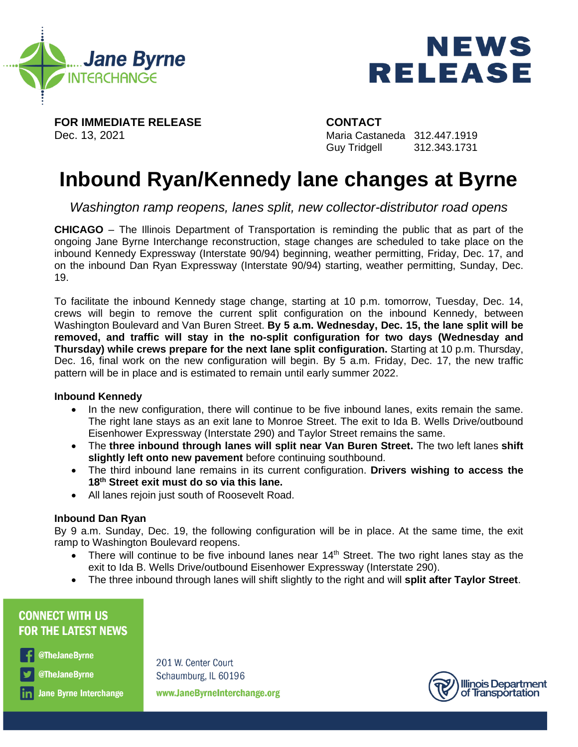



**FOR IMMEDIATE RELEASE CONTACT**

Dec. 13, 2021 Maria Castaneda 312.447.1919 Guy Tridgell 312.343.1731

# **Inbound Ryan/Kennedy lane changes at Byrne**

*Washington ramp reopens, lanes split, new collector-distributor road opens* 

**CHICAGO** – The Illinois Department of Transportation is reminding the public that as part of the ongoing Jane Byrne Interchange reconstruction, stage changes are scheduled to take place on the inbound Kennedy Expressway (Interstate 90/94) beginning, weather permitting, Friday, Dec. 17, and on the inbound Dan Ryan Expressway (Interstate 90/94) starting, weather permitting, Sunday, Dec. 19.

To facilitate the inbound Kennedy stage change, starting at 10 p.m. tomorrow, Tuesday, Dec. 14, crews will begin to remove the current split configuration on the inbound Kennedy, between Washington Boulevard and Van Buren Street. **By 5 a.m. Wednesday, Dec. 15, the lane split will be removed, and traffic will stay in the no-split configuration for two days (Wednesday and Thursday) while crews prepare for the next lane split configuration.** Starting at 10 p.m. Thursday, Dec. 16, final work on the new configuration will begin. By 5 a.m. Friday, Dec. 17, the new traffic pattern will be in place and is estimated to remain until early summer 2022.

### **Inbound Kennedy**

- In the new configuration, there will continue to be five inbound lanes, exits remain the same. The right lane stays as an exit lane to Monroe Street. The exit to Ida B. Wells Drive/outbound Eisenhower Expressway (Interstate 290) and Taylor Street remains the same.
- The **three inbound through lanes will split near Van Buren Street.** The two left lanes **shift slightly left onto new pavement** before continuing southbound.
- The third inbound lane remains in its current configuration. **Drivers wishing to access the 18th Street exit must do so via this lane.**
- All lanes rejoin just south of Roosevelt Road.

#### **Inbound Dan Ryan**

By 9 a.m. Sunday, Dec. 19, the following configuration will be in place. At the same time, the exit ramp to Washington Boulevard reopens.

- There will continue to be five inbound lanes near  $14<sup>th</sup>$  Street. The two right lanes stay as the exit to Ida B. Wells Drive/outbound Eisenhower Expressway (Interstate 290).
- The three inbound through lanes will shift slightly to the right and will **split after Taylor Street**.

## **CONNECT WITH US FOR THE LATEST NEWS**

@TheJaneByrne

@TheJaneByrne

**Jane Byrne Interchange** 

201 W. Center Court Schaumburg, IL 60196 www.JaneByrneInterchange.org